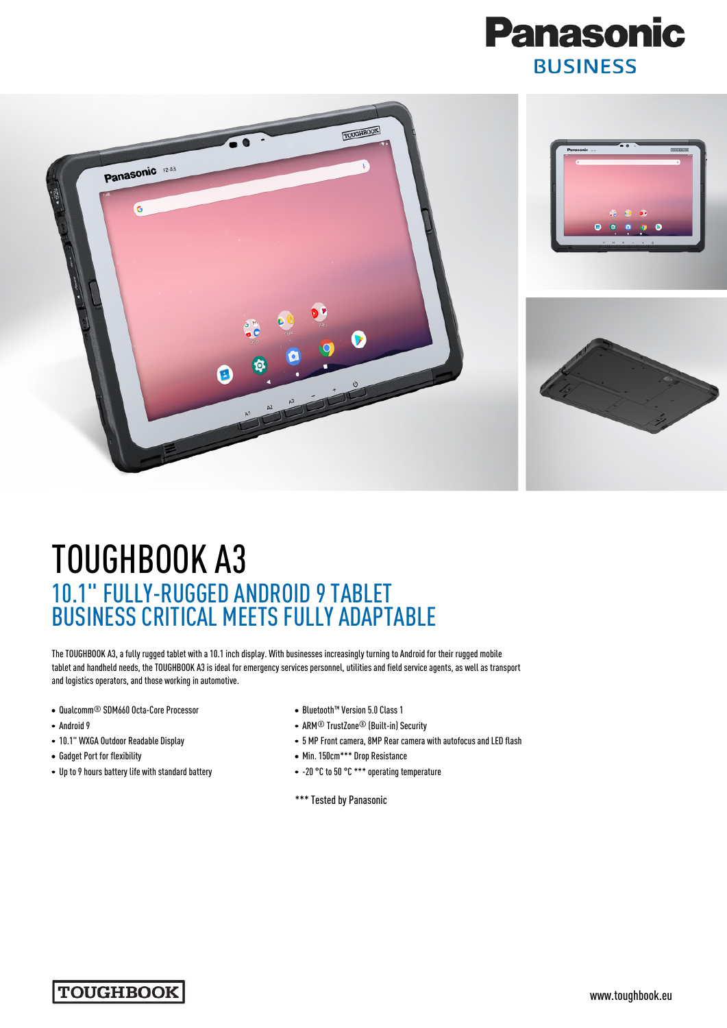



## TOUGHBOOK A3 10.1" FULLY-RUGGED ANDROID 9 TABLET BUSINESS CRITICAL MEETS FULLY ADAPTABLE

The TOUGHBOOK A3, a fully rugged tablet with a 10.1 inch display. With businesses increasingly turning to Android for their rugged mobile tablet and handheld needs, the TOUGHBOOK A3 is ideal for emergency services personnel, utilities and field service agents, as well as transport and logistics operators, and those working in automotive.

- Qualcomm® SDM660 Octa-Core Processor
- Android 9
- 10.1" WXGA Outdoor Readable Display
- Gadget Port for flexibility
- Up to 9 hours battery life with standard battery
- Bluetooth™ Version 5.0 Class 1
- ARM® TrustZone® (Built-in) Security
- 5 MP Front camera, 8MP Rear camera with autofocus and LED flash
- Min. 150cm\*\*\* Drop Resistance
- -20 °C to 50 °C \*\*\* operating temperature
- \*\*\* Tested by Panasonic